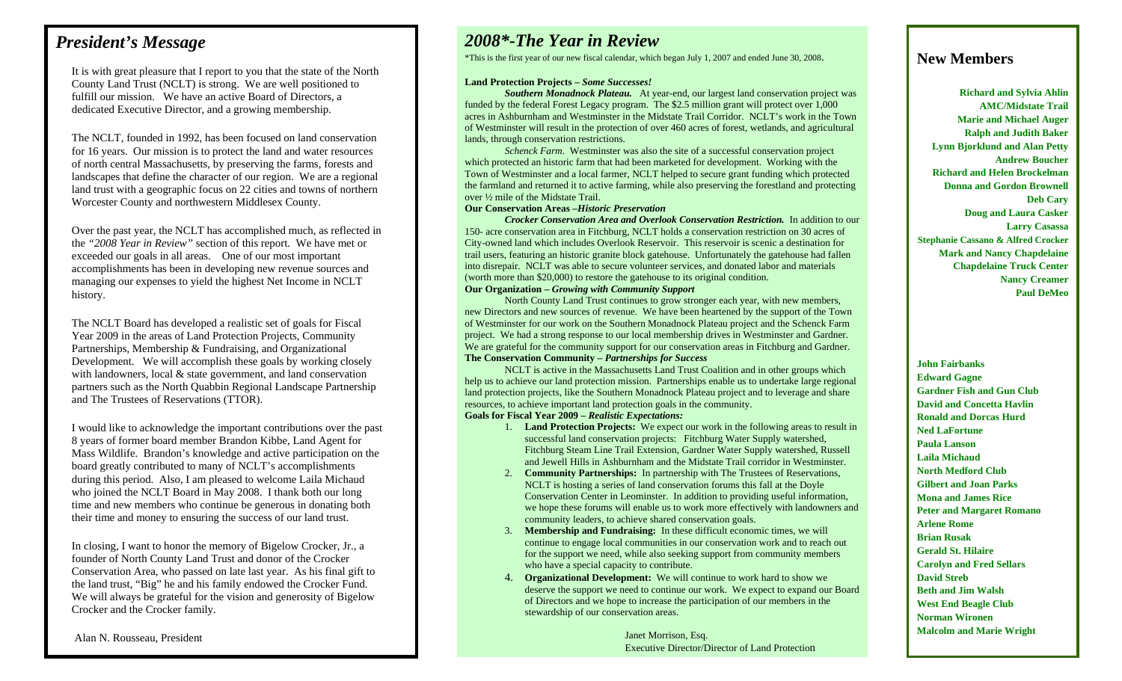## *President's Message*

It is with great pleasure that I report to you that the state of the North County Land Trust (NCLT) is strong. We are well positioned to fulfill our mission. We have an active Board of Directors, a dedicated Executive Director, and a growing membership.

The NCLT, founded in 1992, has been focused on land conservation for 16 years. Our mission is to protect the land and water resources of north central Massachusetts, by preserving the farms, forests and landscapes that define the character of our region. We are a regional land trust with a geographic focus on 22 cities and towns of northern Worcester County and northwestern Middlesex County.

Over the past year, the NCLT has accomplished much, as reflected in the *"2008 Year in Review"* section of this report. We have met or exceeded our goals in all areas. One of our most important accomplishments has been in developing new revenue sources and managing our expenses to yield the highest Net Income in NCLT history.

The NCLT Board has developed a realistic set of goals for Fiscal Year 2009 in the areas of Land Protection Projects, Community Partnerships, Membership & Fundraising, and Organizational Development. We will accomplish these goals by working closely with landowners, local & state government, and land conservation partners such as the North Quabbin Regional Landscape Partnership and The Trustees of Reservations (TTOR).

I would like to acknowledge the important contributions over the past 8 years of former board member Brandon Kibbe, Land Agent for Mass Wildlife. Brandon's knowledge and active participation on the board greatly contributed to many of NCLT's accomplishments during this period. Also, I am pleased to welcome Laila Michaud who joined the NCLT Board in May 2008. I thank both our long time and new members who continue be generous in donating both their time and money to ensuring the success of our land trust.

In closing, I want to honor the memory of Bigelow Crocker, Jr., a founder of North County Land Trust and donor of the Crocker Conservation Area, who passed on late last year. As his final gift to the land trust, "Big" he and his family endowed the Crocker Fund. We will always be grateful for the vision and generosity of Bigelow Crocker and the Crocker family.

## *2008\*-The Year in Review*

\*This is the first year of our new fiscal calendar, which began July 1, 2007 and ended June 30, 2008.

### **Land Protection Projects –** *Some Successes!*

 *Southern Monadnock Plateau.* At year-end, our largest land conservation project was funded by the federal Forest Legacy program. The \$2.5 million grant will protect over 1,000 acres in Ashburnham and Westminster in the Midstate Trail Corridor. NCLT's work in the Town of Westminster will result in the protection of over 460 acres of forest, wetlands, and agricultural lands, through conservation restrictions.

*Schenck Farm.* Westminster was also the site of a successful conservation project which protected an historic farm that had been marketed for development. Working with the Town of Westminster and a local farmer, NCLT helped to secure grant funding which protected the farmland and returned it to active farming, while also preserving the forestland and protecting over ½ mile of the Midstate Trail.

### **Our Conservation Areas –***Historic Preservation*

 *Crocker Conservation Area and Overlook Conservation Restriction.* In addition to our 150- acre conservation area in Fitchburg, NCLT holds a conservation restriction on 30 acres of City-owned land which includes Overlook Reservoir. This reservoir is scenic a destination for trail users, featuring an historic granite block gatehouse. Unfortunately the gatehouse had fallen into disrepair. NCLT was able to secure volunteer services, and donated labor and materials (worth more than \$20,000) to restore the gatehouse to its original condition.

#### **Our Organization –** *Growing with Community Support*

 North County Land Trust continues to grow stronger each year, with new members, new Directors and new sources of revenue. We have been heartened by the support of the Town of Westminster for our work on the Southern Monadnock Plateau project and the Schenck Farm project. We had a strong response to our local membership drives in Westminster and Gardner. We are grateful for the community support for our conservation areas in Fitchburg and Gardner. **The Conservation Community –** *Partnerships for Success* 

 NCLT is active in the Massachusetts Land Trust Coalition and in other groups which help us to achieve our land protection mission. Partnerships enable us to undertake large regional land protection projects, like the Southern Monadnock Plateau project and to leverage and share resources, to achieve important land protection goals in the community.

#### **Goals for Fiscal Year 2009 –** *Realistic Expectations:*

- 1. **Land Protection Projects:** We expect our work in the following areas to result in successful land conservation projects: Fitchburg Water Supply watershed, Fitchburg Steam Line Trail Extension, Gardner Water Supply watershed, Russell and Jewell Hills in Ashburnham and the Midstate Trail corridor in Westminster.
- 2. **Community Partnerships:** In partnership with The Trustees of Reservations, NCLT is hosting a series of land conservation forums this fall at the Doyle Conservation Center in Leominster. In addition to providing useful information, we hope these forums will enable us to work more effectively with landowners and community leaders, to achieve shared conservation goals.
- 3. **Membership and Fundraising:** In these difficult economic times, we will continue to engage local communities in our conservation work and to reach out for the support we need, while also seeking support from community members who have a special capacity to contribute.
- 4. **Organizational Development:** We will continue to work hard to show we deserve the support we need to continue our work. We expect to expand our Board of Directors and we hope to increase the participation of our members in the stewardship of our conservation areas.

Janet Morrison, Esq. Executive Director/Director of Land Protection

## **New Members**

**Richard and Sylvia Ahlin AMC/Midstate Trail Marie and Michael Auger Ralph and Judith Baker Lynn Bjorklund and Alan Petty Andrew Boucher Richard and Helen Brockelman Donna and Gordon Brownell Deb Cary Doug and Laura Casker Larry Casassa Stephanie Cassano & Alfred Crocker Mark and Nancy Chapdelaine Chapdelaine Truck Center Nancy Creamer Paul DeMeo** 

**John Fairbanks Edward Gagne Gardner Fish and Gun Club David and Concetta Havlin Ronald and Dorcas Hurd Ned LaFortune Paula Lanson Laila Michaud North Medford Club Gilbert and Joan Parks Mona and James Rice Peter and Margaret Romano Arlene Rome Brian Rusak Gerald St. Hilaire Carolyn and Fred Sellars David Streb Beth and Jim Walsh West End Beagle Club Norman Wironen Malcolm and Marie Wright** 

Alan N. Rousseau, President